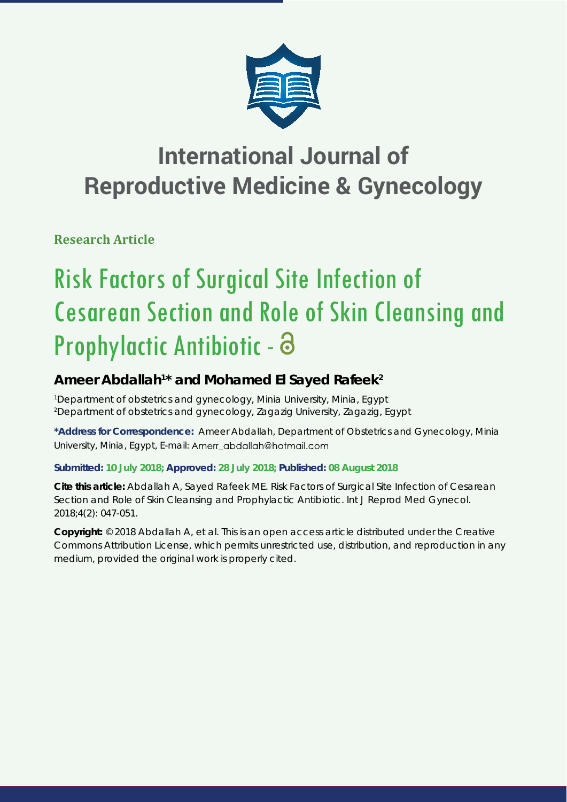

# **International Journal of Reproductive Medicine & Gynecology**

**Research Article**

# Risk Factors of Surgical Site Infection of Cesarean Section and Role of Skin Cleansing and Prophylactic Antibiotic -

# Ameer Abdallah<sup>1\*</sup> and Mohamed El Sayed Rafeek<sup>2</sup>

*1 Department of obstetrics and gynecology, Minia University, Minia, Egypt 2 Department of obstetrics and gynecology, Zagazig University, Zagazig, Egypt*

**\*Address for Correspondence:** Ameer Abdallah, Department of Obstetrics and Gynecology, Minia University, Minia, Egypt, E-mail: Amerr abdallah@hotmail.com

# **Submitted: 10 July 2018; Approved: 28 July 2018; Published: 08 August 2018**

**Cite this article:** Abdallah A, Sayed Rafeek ME. Risk Factors of Surgical Site Infection of Cesarean Section and Role of Skin Cleansing and Prophylactic Antibiotic. Int J Reprod Med Gynecol. 2018;4(2): 047-051.

**Copyright:** © 2018 Abdallah A, et al. This is an open access article distributed under the Creative Commons Attribution License, which permits unrestricted use, distribution, and reproduction in any medium, provided the original work is properly cited.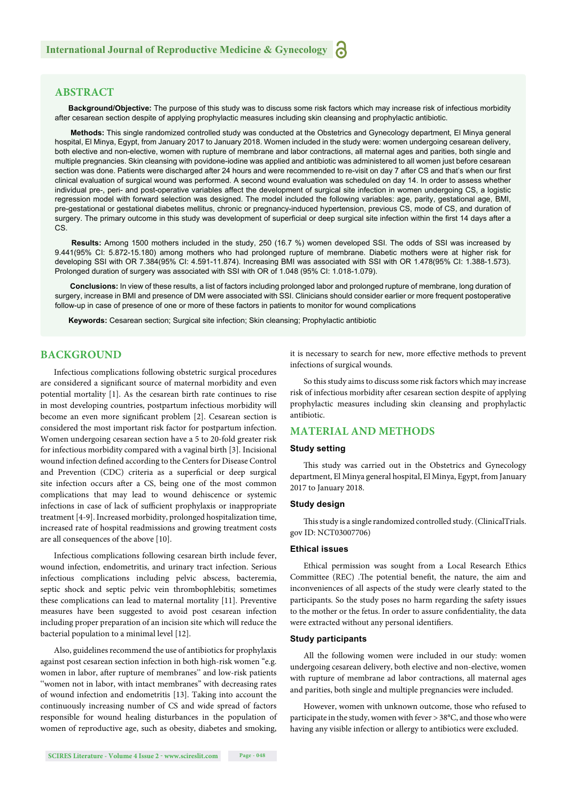# **ABSTRACT**

**Background/Objective:** The purpose of this study was to discuss some risk factors which may increase risk of infectious morbidity after cesarean section despite of applying prophylactic measures including skin cleansing and prophylactic antibiotic.

**Methods:** This single randomized controlled study was conducted at the Obstetrics and Gynecology department, El Minya general hospital, El Minya, Egypt, from January 2017 to January 2018. Women included in the study were: women undergoing cesarean delivery, both elective and non-elective, women with rupture of membrane and labor contractions, all maternal ages and parities, both single and multiple pregnancies. Skin cleansing with povidone-iodine was applied and antibiotic was administered to all women just before cesarean section was done. Patients were discharged after 24 hours and were recommended to re-visit on day 7 after CS and that's when our first clinical evaluation of surgical wound was performed. A second wound evaluation was scheduled on day 14. In order to assess whether individual pre-, peri- and post-operative variables affect the development of surgical site infection in women undergoing CS, a logistic regression model with forward selection was designed. The model included the following variables: age, parity, gestational age, BMI, pre-gestational or gestational diabetes mellitus, chronic or pregnancy-induced hypertension, previous CS, mode of CS, and duration of surgery. The primary outcome in this study was development of superficial or deep surgical site infection within the first 14 days after a CS.

 **Results:** Among 1500 mothers included in the study, 250 (16.7 %) women developed SSI. The odds of SSI was increased by 9.441(95% CI: 5.872-15.180) among mothers who had prolonged rupture of membrane. Diabetic mothers were at higher risk for developing SSI with OR 7.384(95% CI: 4.591-11.874). Increasing BMI was associated with SSI with OR 1.478(95% CI: 1.388-1.573). Prolonged duration of surgery was associated with SSI with OR of 1.048 (95% CI: 1.018-1.079).

 **Conclusions:** In view of these results, a list of factors including prolonged labor and prolonged rupture of membrane, long duration of surgery, increase in BMI and presence of DM were associated with SSI. Clinicians should consider earlier or more frequent postoperative follow-up in case of presence of one or more of these factors in patients to monitor for wound complications

**Keywords:** Cesarean section; Surgical site infection; Skin cleansing; Prophylactic antibiotic

#### **BACKGROUND**

Infectious complications following obstetric surgical procedures are considered a significant source of maternal morbidity and even potential mortality [1]. As the cesarean birth rate continues to rise in most developing countries, postpartum infectious morbidity will become an even more significant problem [2]. Cesarean section is considered the most important risk factor for postpartum infection. Women undergoing cesarean section have a 5 to 20-fold greater risk for infectious morbidity compared with a vaginal birth [3]. Incisional wound infection defined according to the Centers for Disease Control and Prevention (CDC) criteria as a superficial or deep surgical site infection occurs after a CS, being one of the most common complications that may lead to wound dehiscence or systemic infections in case of lack of sufficient prophylaxis or inappropriate treatment [4-9]. Increased morbidity, prolonged hospitalization time, increased rate of hospital readmissions and growing treatment costs are all consequences of the above [10].

Infectious complications following cesarean birth include fever, wound infection, endometritis, and urinary tract infection. Serious infectious complications including pelvic abscess, bacteremia, septic shock and septic pelvic vein thrombophlebitis; sometimes these complications can lead to maternal mortality [11]. Preventive measures have been suggested to avoid post cesarean infection including proper preparation of an incision site which will reduce the bacterial population to a minimal level [12].

Also, guidelines recommend the use of antibiotics for prophylaxis against post cesarean section infection in both high-risk women "e.g. women in labor, after rupture of membranes" and low-risk patients ''women not in labor, with intact membranes" with decreasing rates of wound infection and endometritis [13]. Taking into account the continuously increasing number of CS and wide spread of factors responsible for wound healing disturbances in the population of women of reproductive age, such as obesity, diabetes and smoking, it is necessary to search for new, more effective methods to prevent infections of surgical wounds.

So this study aims to discuss some risk factors which may increase risk of infectious morbidity after cesarean section despite of applying prophylactic measures including skin cleansing and prophylactic antibiotic.

## **MATERIAL AND METHODS**

#### **Study setting**

This study was carried out in the Obstetrics and Gynecology department, El Minya general hospital, El Minya, Egypt, from January 2017 to January 2018.

#### **Study design**

This study is a single randomized controlled study. (ClinicalTrials. gov ID: NCT03007706)

#### **Ethical issues**

Ethical permission was sought from a Local Research Ethics Committee (REC) .The potential benefit, the nature, the aim and inconveniences of all aspects of the study were clearly stated to the participants. So the study poses no harm regarding the safety issues to the mother or the fetus. In order to assure confidentiality, the data were extracted without any personal identifiers.

#### **Study participants**

All the following women were included in our study: women undergoing cesarean delivery, both elective and non-elective, women with rupture of membrane ad labor contractions, all maternal ages and parities, both single and multiple pregnancies were included.

However, women with unknown outcome, those who refused to participate in the study, women with fever > 38°C, and those who were having any visible infection or allergy to antibiotics were excluded.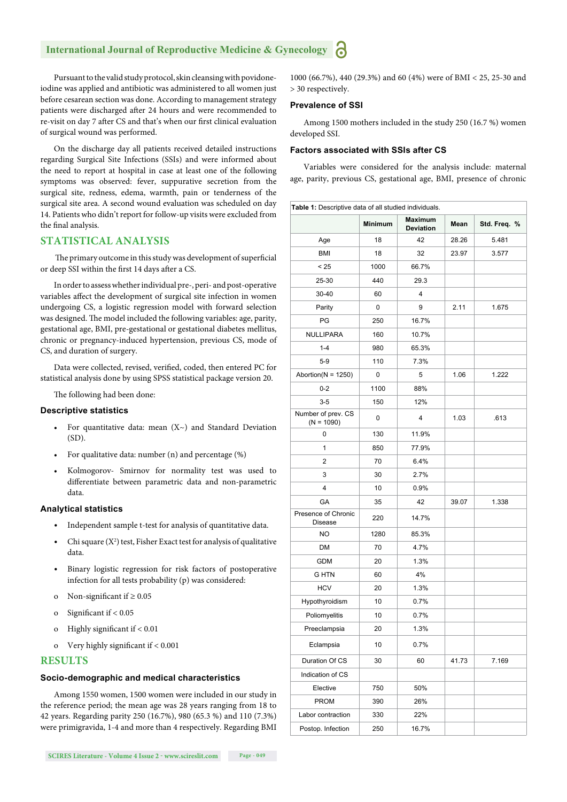# **International Journal of Reproductive Medicine & Gynecology**

Pursuant to the valid study protocol, skin cleansing with povidoneiodine was applied and antibiotic was administered to all women just before cesarean section was done. According to management strategy patients were discharged after 24 hours and were recommended to re-visit on day 7 after CS and that's when our first clinical evaluation of surgical wound was performed.

On the discharge day all patients received detailed instructions regarding Surgical Site Infections (SSIs) and were informed about the need to report at hospital in case at least one of the following symptoms was observed: fever, suppurative secretion from the surgical site, redness, edema, warmth, pain or tenderness of the surgical site area. A second wound evaluation was scheduled on day 14. Patients who didn't report for follow-up visits were excluded from the final analysis.

## **STATISTICAL ANALYSIS**

The primary outcome in this study was development of superficial or deep SSI within the first 14 days after a CS.

In order to assess whether individual pre-, peri- and post-operative variables affect the development of surgical site infection in women undergoing CS, a logistic regression model with forward selection was designed. The model included the following variables: age, parity, gestational age, BMI, pre-gestational or gestational diabetes mellitus, chronic or pregnancy-induced hypertension, previous CS, mode of CS, and duration of surgery.

Data were collected, revised, verified, coded, then entered PC for statistical analysis done by using SPSS statistical package version 20.

The following had been done:

#### **Descriptive statistics**

- For quantitative data: mean  $(X \sim)$  and Standard Deviation (SD).
- For qualitative data: number (n) and percentage (%)
- Kolmogorov- Smirnov for normality test was used to differentiate between parametric data and non-parametric data.

#### **Analytical statistics**

- Independent sample t-test for analysis of quantitative data.
- Chi square  $(X^2)$  test, Fisher Exact test for analysis of qualitative data.
- Binary logistic regression for risk factors of postoperative infection for all tests probability (p) was considered:
- o Non-significant if  $\geq 0.05$
- o Significant if  $< 0.05$
- o Highly significant if  $< 0.01$
- o Very highly significant if  $< 0.001$

#### **RESULTS**

#### **Socio-demographic and medical characteristics**

Among 1550 women, 1500 women were included in our study in the reference period; the mean age was 28 years ranging from 18 to 42 years. Regarding parity 250 (16.7%), 980 (65.3 %) and 110 (7.3%) were primigravida, 1-4 and more than 4 respectively. Regarding BMI

1000 (66.7%), 440 (29.3%) and 60 (4%) were of BMI < 25, 25-30 and > 30 respectively.

#### **Prevalence of SSI**

Among 1500 mothers included in the study 250 (16.7 %) women developed SSI.

#### **Factors associated with SSIs after CS**

Variables were considered for the analysis include: maternal age, parity, previous CS, gestational age, BMI, presence of chronic

| Table 1: Descriptive data of all studied individuals. |                |                                    |       |              |  |  |  |
|-------------------------------------------------------|----------------|------------------------------------|-------|--------------|--|--|--|
|                                                       | <b>Minimum</b> | <b>Maximum</b><br><b>Deviation</b> | Mean  | Std. Freq. % |  |  |  |
| Age                                                   | 18             | 42                                 | 28.26 | 5.481        |  |  |  |
| <b>BMI</b>                                            | 18             | 32                                 | 23.97 | 3.577        |  |  |  |
| < 25                                                  | 1000           | 66.7%                              |       |              |  |  |  |
| 25-30                                                 | 440            | 29.3                               |       |              |  |  |  |
| $30 - 40$                                             | 60             | 4                                  |       |              |  |  |  |
| Parity                                                | 0              | 9                                  | 2.11  | 1.675        |  |  |  |
| PG                                                    | 250            | 16.7%                              |       |              |  |  |  |
| NULLIPARA                                             | 160            | 10.7%                              |       |              |  |  |  |
| $1 - 4$                                               | 980            | 65.3%                              |       |              |  |  |  |
| $5-9$                                                 | 110            | 7.3%                               |       |              |  |  |  |
| Abortion( $N = 1250$ )                                | 0              | 5                                  | 1.06  | 1.222        |  |  |  |
| $0 - 2$                                               | 1100           | 88%                                |       |              |  |  |  |
| $3 - 5$                                               | 150            | 12%                                |       |              |  |  |  |
| Number of prev. CS<br>$(N = 1090)$                    | 0              | $\overline{4}$                     | 1.03  | .613         |  |  |  |
| 0                                                     | 130            | 11.9%                              |       |              |  |  |  |
| 1                                                     | 850            | 77.9%                              |       |              |  |  |  |
| 2                                                     | 70             | 6.4%                               |       |              |  |  |  |
| 3                                                     | 30             | 2.7%                               |       |              |  |  |  |
| 4                                                     | 10             | 0.9%                               |       |              |  |  |  |
| GA                                                    | 35             | 42                                 | 39.07 | 1.338        |  |  |  |
| Presence of Chronic<br><b>Disease</b>                 | 220            | 14.7%                              |       |              |  |  |  |
| <b>NO</b>                                             | 1280           | 85.3%                              |       |              |  |  |  |
| DM                                                    | 70             | 4.7%                               |       |              |  |  |  |
| GDM                                                   | 20             | 1.3%                               |       |              |  |  |  |
| G HTN                                                 | 60             | 4%                                 |       |              |  |  |  |
| <b>HCV</b>                                            | 20             | 1.3%                               |       |              |  |  |  |
| Hypothyroidism                                        | 10             | 0.7%                               |       |              |  |  |  |
| Poliomyelitis                                         | 10             | 0.7%                               |       |              |  |  |  |
| Preeclampsia                                          | 20             | 1.3%                               |       |              |  |  |  |
| Eclampsia                                             | 10             | 0.7%                               |       |              |  |  |  |
| Duration Of CS                                        | 30             | 60                                 | 41.73 | 7.169        |  |  |  |
| Indication of CS                                      |                |                                    |       |              |  |  |  |
| Elective                                              | 750            | 50%                                |       |              |  |  |  |
| <b>PROM</b>                                           | 390            | 26%                                |       |              |  |  |  |
| Labor contraction                                     | 330            | 22%                                |       |              |  |  |  |
| Postop. Infection                                     | 250            | 16.7%                              |       |              |  |  |  |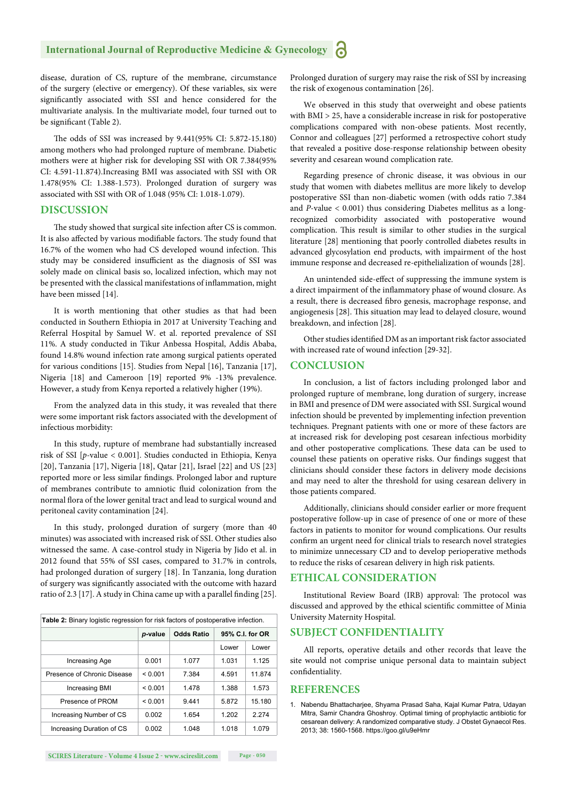# **International Journal of Reproductive Medicine & Gynecology**

disease, duration of CS, rupture of the membrane, circumstance of the surgery (elective or emergency). Of these variables, six were significantly associated with SSI and hence considered for the multivariate analysis. In the multivariate model, four turned out to be significant (Table 2).

The odds of SSI was increased by 9.441(95% CI: 5.872-15.180) among mothers who had prolonged rupture of membrane. Diabetic mothers were at higher risk for developing SSI with OR 7.384(95% CI: 4.591-11.874).Increasing BMI was associated with SSI with OR 1.478(95% CI: 1.388-1.573). Prolonged duration of surgery was associated with SSI with OR of 1.048 (95% CI: 1.018-1.079).

#### **DISCUSSION**

The study showed that surgical site infection after CS is common. It is also affected by various modifiable factors. The study found that 16.7% of the women who had CS developed wound infection. This study may be considered insufficient as the diagnosis of SSI was solely made on clinical basis so, localized infection, which may not be presented with the classical manifestations of inflammation, might have been missed [14].

It is worth mentioning that other studies as that had been conducted in Southern Ethiopia in 2017 at University Teaching and Referral Hospital by Samuel W. et al. reported prevalence of SSI 11%. A study conducted in Tikur Anbessa Hospital, Addis Ababa, found 14.8% wound infection rate among surgical patients operated for various conditions [15]. Studies from Nepal [16], Tanzania [17], Nigeria [18] and Cameroon [19] reported 9% -13% prevalence. However, a study from Kenya reported a relatively higher (19%).

From the analyzed data in this study, it was revealed that there were some important risk factors associated with the development of infectious morbidity:

In this study, rupture of membrane had substantially increased risk of SSI [*p-*value < 0.001]. Studies conducted in Ethiopia, Kenya [20], Tanzania [17], Nigeria [18], Qatar [21], Israel [22] and US [23] reported more or less similar findings. Prolonged labor and rupture of membranes contribute to amniotic fluid colonization from the normal flora of the lower genital tract and lead to surgical wound and peritoneal cavity contamination [24].

In this study, prolonged duration of surgery (more than 40 minutes) was associated with increased risk of SSI. Other studies also witnessed the same. A case-control study in Nigeria by Jido et al. in 2012 found that 55% of SSI cases, compared to 31.7% in controls, had prolonged duration of surgery [18]. In Tanzania, long duration of surgery was significantly associated with the outcome with hazard ratio of 2.3 [17]. A study in China came up with a parallel finding  $[25]$ .

| <b>Table 2:</b> Binary logistic regression for risk factors of postoperative infection. |         |                   |                 |        |  |  |  |
|-----------------------------------------------------------------------------------------|---------|-------------------|-----------------|--------|--|--|--|
|                                                                                         | p-value | <b>Odds Ratio</b> | 95% C.I. for OR |        |  |  |  |
|                                                                                         |         |                   | Lower           | Lower  |  |  |  |
| Increasing Age                                                                          | 0.001   | 1.077             | 1.031           | 1.125  |  |  |  |
| Presence of Chronic Disease                                                             | < 0.001 | 7.384             | 4.591           | 11874  |  |  |  |
| <b>Increasing BMI</b>                                                                   | < 0.001 | 1.478             | 1.388           | 1.573  |  |  |  |
| Presence of PROM                                                                        | < 0.001 | 9.441             | 5.872           | 15.180 |  |  |  |
| Increasing Number of CS                                                                 | 0.002   | 1.654             | 1.202           | 2.274  |  |  |  |
| Increasing Duration of CS                                                               | 0.002   | 1.048             | 1.018           | 1.079  |  |  |  |

Prolonged duration of surgery may raise the risk of SSI by increasing the risk of exogenous contamination [26].

We observed in this study that overweight and obese patients with BMI > 25, have a considerable increase in risk for postoperative complications compared with non-obese patients. Most recently, Connor and colleagues [27] performed a retrospective cohort study that revealed a positive dose-response relationship between obesity severity and cesarean wound complication rate.

Regarding presence of chronic disease, it was obvious in our study that women with diabetes mellitus are more likely to develop postoperative SSI than non-diabetic women (with odds ratio 7.384 and *P*-value < 0.001) thus considering Diabetes mellitus as a longrecognized comorbidity associated with postoperative wound complication. This result is similar to other studies in the surgical literature [28] mentioning that poorly controlled diabetes results in advanced glycosylation end products, with impairment of the host immune response and decreased re-epithelialization of wounds [28].

An unintended side-effect of suppressing the immune system is a direct impairment of the inflammatory phase of wound closure. As a result, there is decreased fibro genesis, macrophage response, and angiogenesis [28]. This situation may lead to delayed closure, wound breakdown, and infection [28].

Other studies identified DM as an important risk factor associated with increased rate of wound infection [29-32].

#### **CONCLUSION**

In conclusion, a list of factors including prolonged labor and prolonged rupture of membrane, long duration of surgery, increase in BMI and presence of DM were associated with SSI. Surgical wound infection should be prevented by implementing infection prevention techniques. Pregnant patients with one or more of these factors are at increased risk for developing post cesarean infectious morbidity and other postoperative complications. These data can be used to counsel these patients on operative risks. Our findings suggest that clinicians should consider these factors in delivery mode decisions and may need to alter the threshold for using cesarean delivery in those patients compared.

Additionally, clinicians should consider earlier or more frequent postoperative follow-up in case of presence of one or more of these factors in patients to monitor for wound complications. Our results confirm an urgent need for clinical trials to research novel strategies to minimize unnecessary CD and to develop perioperative methods to reduce the risks of cesarean delivery in high risk patients.

#### **ETHICAL CONSIDERATION**

Institutional Review Board (IRB) approval: The protocol was discussed and approved by the ethical scientific committee of Minia University Maternity Hospital.

#### **SUBJECT CONFIDENTIALITY**

All reports, operative details and other records that leave the site would not comprise unique personal data to maintain subject confidentiality.

#### **REFERENCES**

1. Nabendu Bhattacharjee, Shyama Prasad Saha, Kajal Kumar Patra, Udayan Mitra, Samir Chandra Ghoshroy. Optimal timing of prophylactic antibiotic for cesarean delivery: A randomized comparative study. J Obstet Gynaecol Res. 2013; 38: 1560-1568. https://goo.gl/u9eHmr